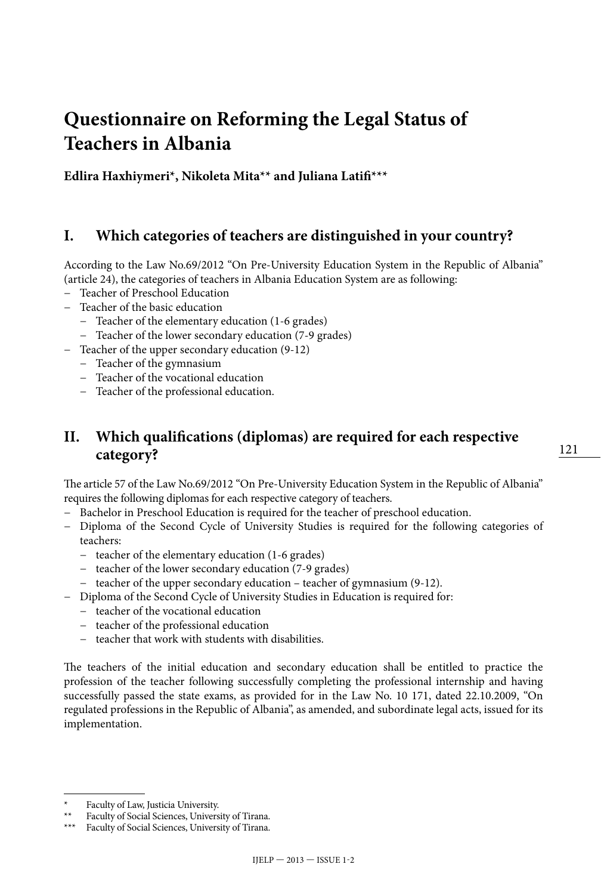# **Questionnaire on Reforming the Legal Status of Teachers in Albania**

**Edlira Haxhiymeri\*, Nikoleta Mita\*\* and Juliana Latifi\*\*\***

### **I. Which categories of teachers are distinguished in your country?**

According to the Law No.69/2012 "On Pre-University Education System in the Republic of Albania" (article 24), the categories of teachers in Albania Education System are as following:

- − Teacher of Preschool Education
- − Teacher of the basic education
	- − Teacher of the elementary education (1-6 grades)
	- − Teacher of the lower secondary education (7-9 grades)
- − Teacher of the upper secondary education (9-12)
	- − Teacher of the gymnasium
	- − Teacher of the vocational education
	- − Teacher of the professional education.

## **II. Which qualifications (diplomas) are required for each respective category?**

The article 57 of the Law No.69/2012 "On Pre-University Education System in the Republic of Albania" requires the following diplomas for each respective category of teachers.

- − Bachelor in Preschool Education is required for the teacher of preschool education.
- − Diploma of the Second Cycle of University Studies is required for the following categories of teachers:
	- − teacher of the elementary education (1-6 grades)
	- − teacher of the lower secondary education (7-9 grades)
	- − teacher of the upper secondary education teacher of gymnasium (9-12).
- − Diploma of the Second Cycle of University Studies in Education is required for:
	- − teacher of the vocational education
	- − teacher of the professional education
	- − teacher that work with students with disabilities.

The teachers of the initial education and secondary education shall be entitled to practice the profession of the teacher following successfully completing the professional internship and having successfully passed the state exams, as provided for in the Law No. 10 171, dated 22.10.2009, "On regulated professions in the Republic of Albania", as amended, and subordinate legal acts, issued for its implementation.

Faculty of Law, Justicia University.

Faculty of Social Sciences, University of Tirana.

Faculty of Social Sciences, University of Tirana.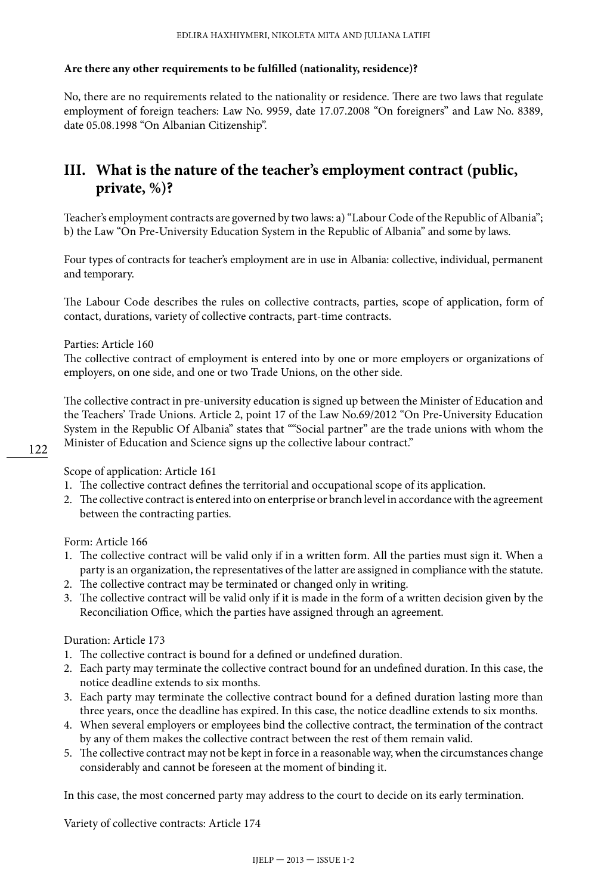#### **Are there any other requirements to be fulfilled (nationality, residence)?**

No, there are no requirements related to the nationality or residence. There are two laws that regulate employment of foreign teachers: Law No. 9959, date 17.07.2008 "On foreigners" and Law No. 8389, date 05.08.1998 "On Albanian Citizenship".

## **III. What is the nature of the teacher's employment contract (public, private, %)?**

Teacher's employment contracts are governed by two laws: a) "Labour Code of the Republic of Albania"; b) the Law "On Pre-University Education System in the Republic of Albania" and some by laws.

Four types of contracts for teacher's employment are in use in Albania: collective, individual, permanent and temporary.

The Labour Code describes the rules on collective contracts, parties, scope of application, form of contact, durations, variety of collective contracts, part-time contracts.

Parties: Article 160

The collective contract of employment is entered into by one or more employers or organizations of employers, on one side, and one or two Trade Unions, on the other side.

The collective contract in pre-university education is signed up between the Minister of Education and the Teachers' Trade Unions. Article 2, point 17 of the Law No.69/2012 "On Pre-University Education System in the Republic Of Albania" states that ""Social partner" are the trade unions with whom the Minister of Education and Science signs up the collective labour contract."

Scope of application: Article 161

- 1. The collective contract defines the territorial and occupational scope of its application.
- 2. The collective contract is entered into on enterprise or branch level in accordance with the agreement between the contracting parties.

Form: Article 166

- 1. The collective contract will be valid only if in a written form. All the parties must sign it. When a party is an organization, the representatives of the latter are assigned in compliance with the statute.
- 2. The collective contract may be terminated or changed only in writing.
- 3. The collective contract will be valid only if it is made in the form of a written decision given by the Reconciliation Office, which the parties have assigned through an agreement.

#### Duration: Article 173

- 1. The collective contract is bound for a defined or undefined duration.
- 2. Each party may terminate the collective contract bound for an undefined duration. In this case, the notice deadline extends to six months.
- 3. Each party may terminate the collective contract bound for a defined duration lasting more than three years, once the deadline has expired. In this case, the notice deadline extends to six months.
- 4. When several employers or employees bind the collective contract, the termination of the contract by any of them makes the collective contract between the rest of them remain valid.
- 5. The collective contract may not be kept in force in a reasonable way, when the circumstances change considerably and cannot be foreseen at the moment of binding it.

In this case, the most concerned party may address to the court to decide on its early termination.

Variety of collective contracts: Article 174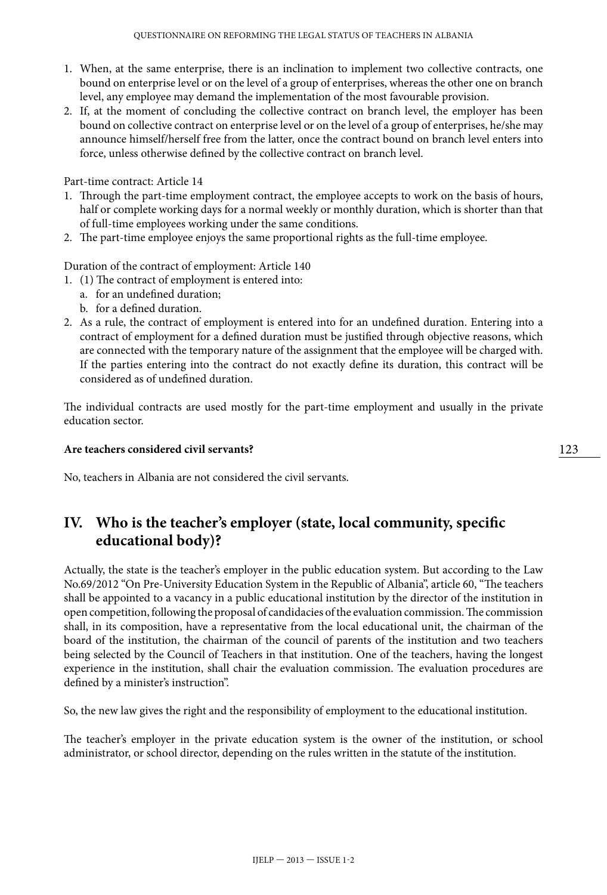- 1. When, at the same enterprise, there is an inclination to implement two collective contracts, one bound on enterprise level or on the level of a group of enterprises, whereas the other one on branch level, any employee may demand the implementation of the most favourable provision.
- 2. If, at the moment of concluding the collective contract on branch level, the employer has been bound on collective contract on enterprise level or on the level of a group of enterprises, he/she may announce himself/herself free from the latter, once the contract bound on branch level enters into force, unless otherwise defined by the collective contract on branch level.

Part-time contract: Article 14

- 1. Through the part-time employment contract, the employee accepts to work on the basis of hours, half or complete working days for a normal weekly or monthly duration, which is shorter than that of full-time employees working under the same conditions.
- 2. The part-time employee enjoys the same proportional rights as the full-time employee.

Duration of the contract of employment: Article 140

- 1. (1) The contract of employment is entered into:
	- a. for an undefined duration;
	- b. for a defined duration.
- 2. As a rule, the contract of employment is entered into for an undefined duration. Entering into a contract of employment for a defined duration must be justified through objective reasons, which are connected with the temporary nature of the assignment that the employee will be charged with. If the parties entering into the contract do not exactly define its duration, this contract will be considered as of undefined duration.

The individual contracts are used mostly for the part-time employment and usually in the private education sector.

#### **Are teachers considered civil servants?**

No, teachers in Albania are not considered the civil servants.

## **IV. Who is the teacher's employer (state, local community, specific educational body)?**

Actually, the state is the teacher's employer in the public education system. But according to the Law No.69/2012 "On Pre-University Education System in the Republic of Albania", article 60, "The teachers shall be appointed to a vacancy in a public educational institution by the director of the institution in open competition, following the proposal of candidacies of the evaluation commission. The commission shall, in its composition, have a representative from the local educational unit, the chairman of the board of the institution, the chairman of the council of parents of the institution and two teachers being selected by the Council of Teachers in that institution. One of the teachers, having the longest experience in the institution, shall chair the evaluation commission. The evaluation procedures are defined by a minister's instruction".

So, the new law gives the right and the responsibility of employment to the educational institution.

The teacher's employer in the private education system is the owner of the institution, or school administrator, or school director, depending on the rules written in the statute of the institution.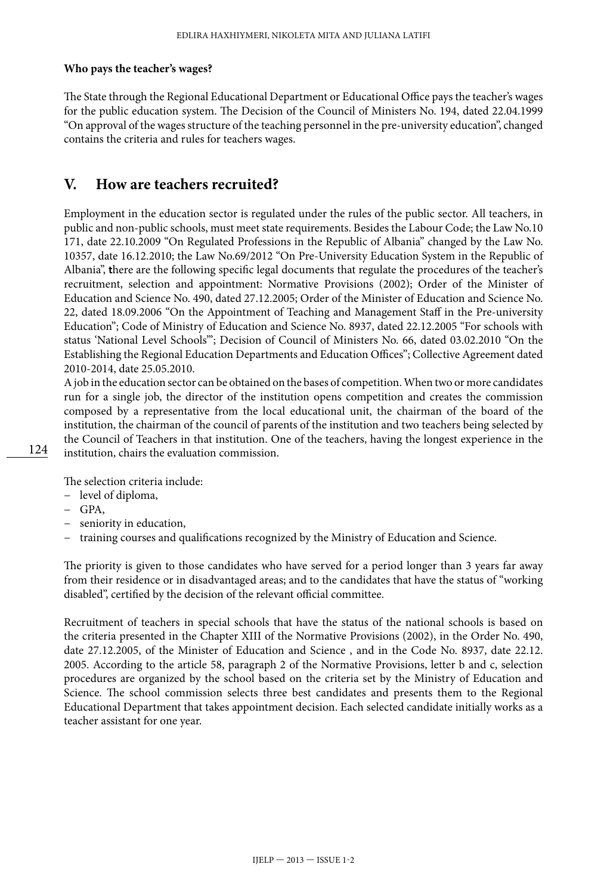#### **Who pays the teacher's wages?**

The State through the Regional Educational Department or Educational Office pays the teacher's wages for the public education system. The Decision of the Council of Ministers No. 194, dated 22.04.1999 "On approval of the wages structure of the teaching personnel in the pre-university education", changed contains the criteria and rules for teachers wages.

### **V. How are teachers recruited?**

Employment in the education sector is regulated under the rules of the public sector. All teachers, in public and non-public schools, must meet state requirements. Besides the Labour Code; the Law No.10 171, date 22.10.2009 "On Regulated Professions in the Republic of Albania" changed by the Law No. 10357, date 16.12.2010; the Law No.69/2012 "On Pre-University Education System in the Republic of Albania", **t**here are the following specific legal documents that regulate the procedures of the teacher's recruitment, selection and appointment: Normative Provisions (2002); Order of the Minister of Education and Science No. 490, dated 27.12.2005; Order of the Minister of Education and Science No. 22, dated 18.09.2006 "On the Appointment of Teaching and Management Staff in the Pre-university Education"; Code of Ministry of Education and Science No. 8937, dated 22.12.2005 "For schools with status 'National Level Schools'"; Decision of Council of Ministers No. 66, dated 03.02.2010 "On the Establishing the Regional Education Departments and Education Offices"; Collective Agreement dated 2010-2014, date 25.05.2010.

A job in the education sector can be obtained on the bases of competition. When two or more candidates run for a single job, the director of the institution opens competition and creates the commission composed by a representative from the local educational unit, the chairman of the board of the institution, the chairman of the council of parents of the institution and two teachers being selected by the Council of Teachers in that institution. One of the teachers, having the longest experience in the institution, chairs the evaluation commission.

The selection criteria include:

- − level of diploma,
- − GPA,
- − seniority in education,
- − training courses and qualifications recognized by the Ministry of Education and Science.

The priority is given to those candidates who have served for a period longer than 3 years far away from their residence or in disadvantaged areas; and to the candidates that have the status of "working disabled", certified by the decision of the relevant official committee.

Recruitment of teachers in special schools that have the status of the national schools is based on the criteria presented in the Chapter XIII of the Normative Provisions (2002), in the Order No. 490, date 27.12.2005, of the Minister of Education and Science , and in the Code No. 8937, date 22.12. 2005. According to the article 58, paragraph 2 of the Normative Provisions, letter b and c, selection procedures are organized by the school based on the criteria set by the Ministry of Education and Science. The school commission selects three best candidates and presents them to the Regional Educational Department that takes appointment decision. Each selected candidate initially works as a teacher assistant for one year.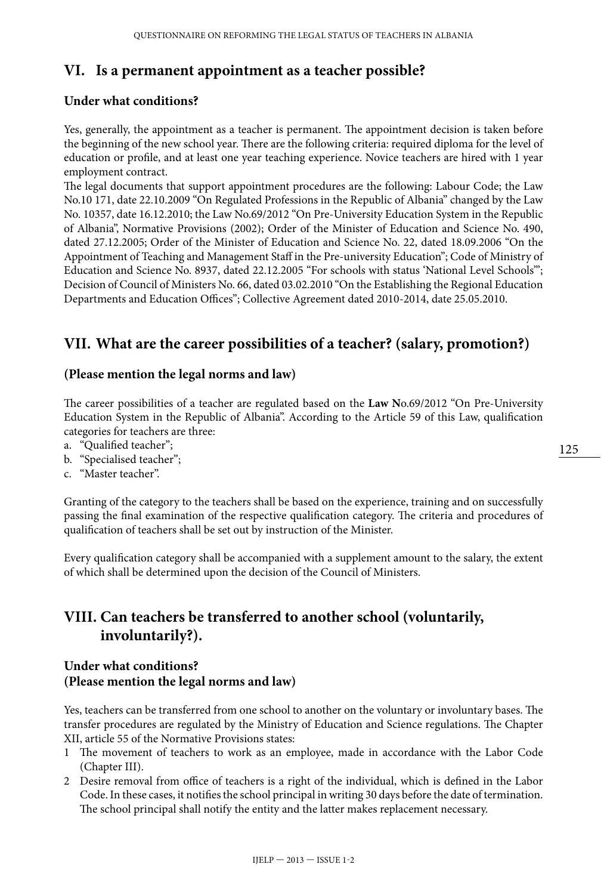## **VI. Is a permanent appointment as a teacher possible?**

#### **Under what conditions?**

Yes, generally, the appointment as a teacher is permanent. The appointment decision is taken before the beginning of the new school year. There are the following criteria: required diploma for the level of education or profile, and at least one year teaching experience. Novice teachers are hired with 1 year employment contract.

The legal documents that support appointment procedures are the following: Labour Code; the Law No.10 171, date 22.10.2009 "On Regulated Professions in the Republic of Albania" changed by the Law No. 10357, date 16.12.2010; the Law No.69/2012 "On Pre-University Education System in the Republic of Albania", Normative Provisions (2002); Order of the Minister of Education and Science No. 490, dated 27.12.2005; Order of the Minister of Education and Science No. 22, dated 18.09.2006 "On the Appointment of Teaching and Management Staff in the Pre-university Education"; Code of Ministry of Education and Science No. 8937, dated 22.12.2005 "For schools with status 'National Level Schools'"; Decision of Council of Ministers No. 66, dated 03.02.2010 "On the Establishing the Regional Education Departments and Education Offices"; Collective Agreement dated 2010-2014, date 25.05.2010.

## **VII. What are the career possibilities of a teacher? (salary, promotion?)**

#### **(Please mention the legal norms and law)**

The career possibilities of a teacher are regulated based on the **Law N**o.69/2012 "On Pre-University Education System in the Republic of Albania". According to the Article 59 of this Law, qualification categories for teachers are three:

- a. "Qualified teacher";
- b. "Specialised teacher";
- c. "Master teacher".

Granting of the category to the teachers shall be based on the experience, training and on successfully passing the final examination of the respective qualification category. The criteria and procedures of qualification of teachers shall be set out by instruction of the Minister.

Every qualification category shall be accompanied with a supplement amount to the salary, the extent of which shall be determined upon the decision of the Council of Ministers.

## **VIII. Can teachers be transferred to another school (voluntarily, involuntarily?).**

#### **Under what conditions? (Please mention the legal norms and law)**

Yes, teachers can be transferred from one school to another on the voluntary or involuntary bases. The transfer procedures are regulated by the Ministry of Education and Science regulations. The Chapter XII, article 55 of the Normative Provisions states:

- 1 The movement of teachers to work as an employee, made in accordance with the Labor Code (Chapter III).
- 2 Desire removal from office of teachers is a right of the individual, which is defined in the Labor Code. In these cases, it notifies the school principal in writing 30 days before the date of termination. The school principal shall notify the entity and the latter makes replacement necessary.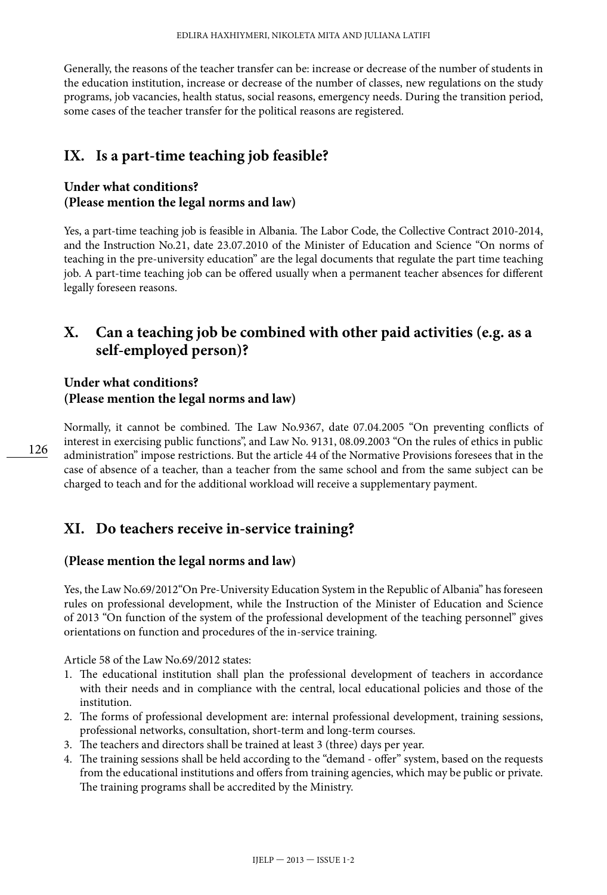Generally, the reasons of the teacher transfer can be: increase or decrease of the number of students in the education institution, increase or decrease of the number of classes, new regulations on the study programs, job vacancies, health status, social reasons, emergency needs. During the transition period, some cases of the teacher transfer for the political reasons are registered.

### **IX. Is a part-time teaching job feasible?**

#### **Under what conditions? (Please mention the legal norms and law)**

Yes, a part-time teaching job is feasible in Albania. The Labor Code, the Collective Contract 2010-2014, and the Instruction No.21, date 23.07.2010 of the Minister of Education and Science "On norms of teaching in the pre-university education" are the legal documents that regulate the part time teaching job. A part-time teaching job can be offered usually when a permanent teacher absences for different legally foreseen reasons.

## **X. Can a teaching job be combined with other paid activities (e.g. as a self-employed person)?**

#### **Under what conditions? (Please mention the legal norms and law)**

Normally, it cannot be combined. The Law No.9367, date 07.04.2005 "On preventing conflicts of interest in exercising public functions", and Law No. 9131, 08.09.2003 "On the rules of ethics in public administration" impose restrictions. But the article 44 of the Normative Provisions foresees that in the case of absence of a teacher, than a teacher from the same school and from the same subject can be charged to teach and for the additional workload will receive a supplementary payment.

### **XI. Do teachers receive in-service training?**

#### **(Please mention the legal norms and law)**

Yes, the Law No.69/2012"On Pre-University Education System in the Republic of Albania" has foreseen rules on professional development, while the Instruction of the Minister of Education and Science of 2013 "On function of the system of the professional development of the teaching personnel" gives orientations on function and procedures of the in-service training.

Article 58 of the Law No.69/2012 states:

- 1. The educational institution shall plan the professional development of teachers in accordance with their needs and in compliance with the central, local educational policies and those of the institution.
- 2. The forms of professional development are: internal professional development, training sessions, professional networks, consultation, short-term and long-term courses.
- 3. The teachers and directors shall be trained at least 3 (three) days per year.
- 4. The training sessions shall be held according to the "demand offer" system, based on the requests from the educational institutions and offers from training agencies, which may be public or private. The training programs shall be accredited by the Ministry.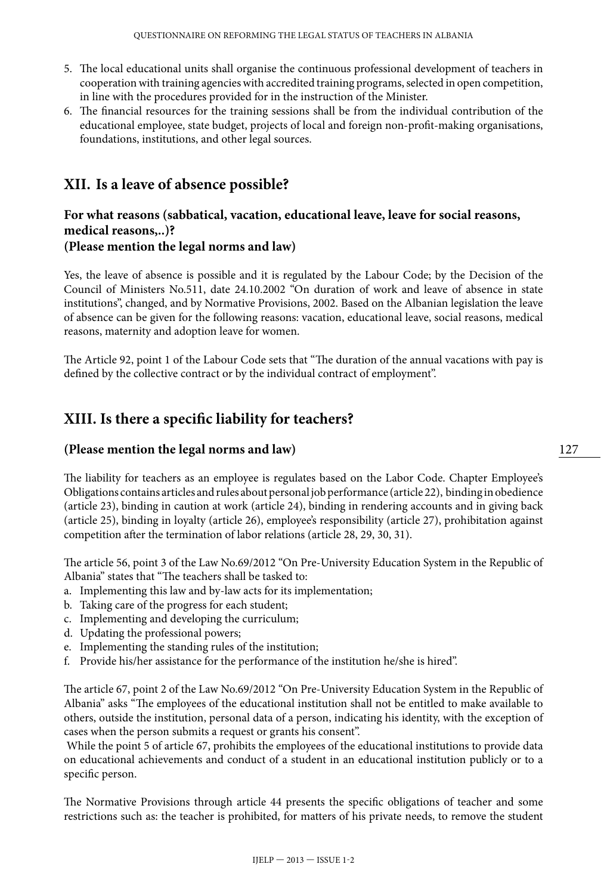- 5. The local educational units shall organise the continuous professional development of teachers in cooperation with training agencies with accredited training programs, selected in open competition, in line with the procedures provided for in the instruction of the Minister.
- 6. The financial resources for the training sessions shall be from the individual contribution of the educational employee, state budget, projects of local and foreign non-profit-making organisations, foundations, institutions, and other legal sources.

### **XII. Is a leave of absence possible?**

#### **For what reasons (sabbatical, vacation, educational leave, leave for social reasons, medical reasons,..)? (Please mention the legal norms and law)**

Yes, the leave of absence is possible and it is regulated by the Labour Code; by the Decision of the Council of Ministers No.511, date 24.10.2002 "On duration of work and leave of absence in state institutions", changed, and by Normative Provisions, 2002. Based on the Albanian legislation the leave of absence can be given for the following reasons: vacation, educational leave, social reasons, medical reasons, maternity and adoption leave for women.

The Article 92, point 1 of the Labour Code sets that "The duration of the annual vacations with pay is defined by the collective contract or by the individual contract of employment".

## **XIII. Is there a specific liability for teachers?**

#### **(Please mention the legal norms and law)**

The liability for teachers as an employee is regulates based on the Labor Code. Chapter Employee's Obligations contains articles and rules about personal job performance (article 22), binding in obedience (article 23), binding in caution at work (article 24), binding in rendering accounts and in giving back (article 25), binding in loyalty (article 26), employee's responsibility (article 27), prohibitation against competition after the termination of labor relations (article 28, 29, 30, 31).

The article 56, point 3 of the Law No.69/2012 "On Pre-University Education System in the Republic of Albania" states that "The teachers shall be tasked to:

- a. Implementing this law and by-law acts for its implementation;
- b. Taking care of the progress for each student;
- c. Implementing and developing the curriculum;
- d. Updating the professional powers;
- e. Implementing the standing rules of the institution;
- f. Provide his/her assistance for the performance of the institution he/she is hired".

The article 67, point 2 of the Law No.69/2012 "On Pre-University Education System in the Republic of Albania" asks "The employees of the educational institution shall not be entitled to make available to others, outside the institution, personal data of a person, indicating his identity, with the exception of cases when the person submits a request or grants his consent".

 While the point 5 of article 67, prohibits the employees of the educational institutions to provide data on educational achievements and conduct of a student in an educational institution publicly or to a specific person.

The Normative Provisions through article 44 presents the specific obligations of teacher and some restrictions such as: the teacher is prohibited, for matters of his private needs, to remove the student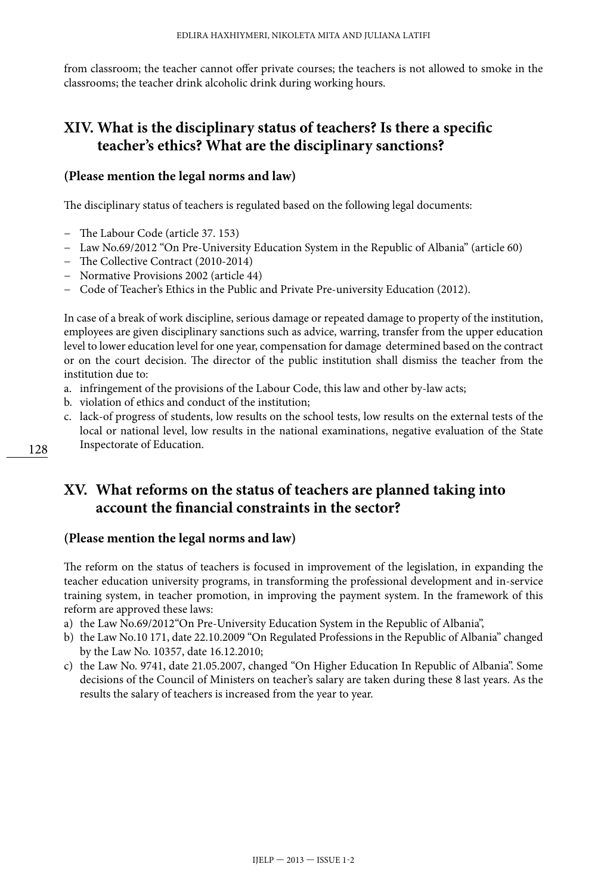from classroom; the teacher cannot offer private courses; the teachers is not allowed to smoke in the classrooms; the teacher drink alcoholic drink during working hours.

## **XIV. What is the disciplinary status of teachers? Is there a specific teacher's ethics? What are the disciplinary sanctions?**

#### **(Please mention the legal norms and law)**

The disciplinary status of teachers is regulated based on the following legal documents:

- − The Labour Code (article 37. 153)
- − Law No.69/2012 "On Pre-University Education System in the Republic of Albania" (article 60)
- − The Collective Contract (2010-2014)
- − Normative Provisions 2002 (article 44)
- − Code of Teacher's Ethics in the Public and Private Pre-university Education (2012).

In case of a break of work discipline, serious damage or repeated damage to property of the institution, employees are given disciplinary sanctions such as advice, warring, transfer from the upper education level to lower education level for one year, compensation for damage determined based on the contract or on the court decision. The director of the public institution shall dismiss the teacher from the institution due to:

- a. infringement of the provisions of the Labour Code, this law and other by-law acts;
- b. violation of ethics and conduct of the institution;
- c. lack-of progress of students, low results on the school tests, low results on the external tests of the local or national level, low results in the national examinations, negative evaluation of the State Inspectorate of Education.

### **XV. What reforms on the status of teachers are planned taking into account the financial constraints in the sector?**

#### **(Please mention the legal norms and law)**

The reform on the status of teachers is focused in improvement of the legislation, in expanding the teacher education university programs, in transforming the professional development and in-service training system, in teacher promotion, in improving the payment system. In the framework of this reform are approved these laws:

- a) the Law No.69/2012"On Pre-University Education System in the Republic of Albania",
- b) the Law No.10 171, date 22.10.2009 "On Regulated Professions in the Republic of Albania" changed by the Law No. 10357, date 16.12.2010;
- c) the Law No. 9741, date 21.05.2007, changed "On Higher Education In Republic of Albania". Some decisions of the Council of Ministers on teacher's salary are taken during these 8 last years. As the results the salary of teachers is increased from the year to year.

128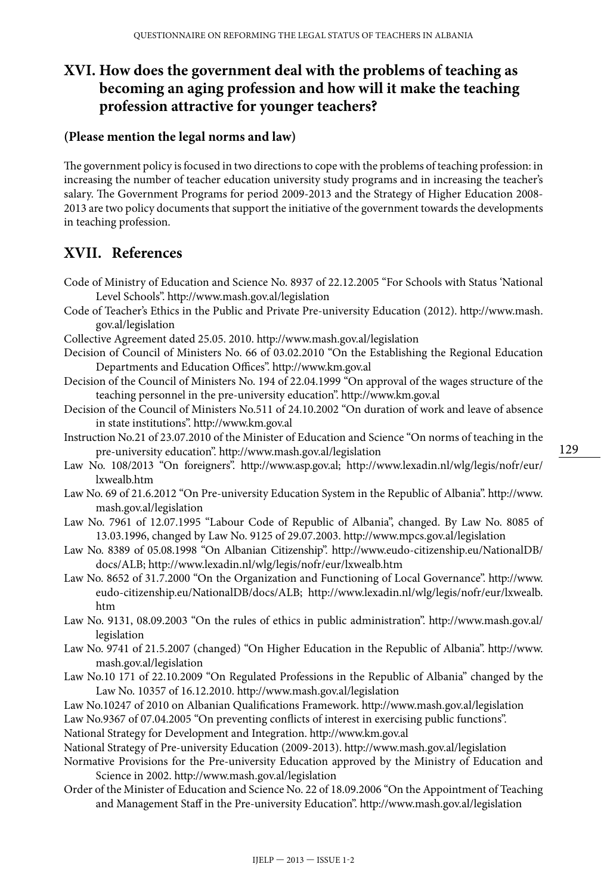## **XVI. How does the government deal with the problems of teaching as becoming an aging profession and how will it make the teaching profession attractive for younger teachers?**

#### **(Please mention the legal norms and law)**

The government policy is focused in two directions to cope with the problems of teaching profession: in increasing the number of teacher education university study programs and in increasing the teacher's salary. The Government Programs for period 2009-2013 and the Strategy of Higher Education 2008- 2013 are two policy documents that support the initiative of the government towards the developments in teaching profession.

## **XVII. References**

- Code of Ministry of Education and Science No. 8937 of 22.12.2005 "For Schools with Status 'National Level Schools". <http://www.mash.gov.al/legislation>
- Code of Teacher's Ethics in the Public and Private Pre-university Education (2012). [http://www.mash.](http://www.mash.gov.al/legislation) [gov.al/legislation](http://www.mash.gov.al/legislation)
- Collective Agreement dated 25.05. 2010. <http://www.mash.gov.al/legislation>
- Decision of Council of Ministers No. 66 of 03.02.2010 "On the Establishing the Regional Education Departments and Education Offices". http://www.km.gov.al
- Decision of the Council of Ministers No. 194 of 22.04.1999 "On approval of the wages structure of the teaching personnel in the pre-university education". http://www.km.gov.al
- Decision of the Council of Ministers No.511 of 24.10.2002 "On duration of work and leave of absence in state institutions". http://www.km.gov.al
- Instruction No.21 of 23.07.2010 of the Minister of Education and Science "On norms of teaching in the pre-university education".<http://www.mash.gov.al/legislation>
- Law No. 108/2013 "On foreigners". <http://www.asp.gov.al>; [http://www.lexadin.nl/wlg/legis/nofr/eur/](http://www.lexadin.nl/wlg/legis/nofr/eur/lxwealb.htm) [lxwealb.htm](http://www.lexadin.nl/wlg/legis/nofr/eur/lxwealb.htm)
- Law No. 69 of 21.6.2012 "On Pre-university Education System in the Republic of Albania". [http://www.](http://www.mash.gov.al/legislation) [mash.gov.al/legislation](http://www.mash.gov.al/legislation)
- Law No. 7961 of 12.07.1995 "Labour Code of Republic of Albania", changed. By Law No. 8085 of 13.03.1996, changed by Law No. 9125 of 29.07.2003. http://www.mpcs.gov.al/legislation
- Law No. 8389 of 05.08.1998 "On Albanian Citizenship". [http://www.eudo-citizenship.eu/NationalDB/](http://www.eudo-citizenship.eu/NationalDB/docs/ALB) [docs/ALB;](http://www.eudo-citizenship.eu/NationalDB/docs/ALB) <http://www.lexadin.nl/wlg/legis/nofr/eur/lxwealb.htm>
- Law No. 8652 of 31.7.2000 "On the Organization and Functioning of Local Governance". [http://www.](http://www.eudo-citizenship.eu/NationalDB/docs/ALB) [eudo-citizenship.eu/NationalDB/docs/ALB](http://www.eudo-citizenship.eu/NationalDB/docs/ALB); [http://www.lexadin.nl/wlg/legis/nofr/eur/lxwealb.](http://www.lexadin.nl/wlg/legis/nofr/eur/lxwealb.htm) [htm](http://www.lexadin.nl/wlg/legis/nofr/eur/lxwealb.htm)
- Law No. 9131, 08.09.2003 "On the rules of ethics in public administration". http://www.mash.gov.al/ legislation
- Law No. 9741 of 21.5.2007 (changed) "On Higher Education in the Republic of Albania". [http://www.](http://www.mash.gov.al/legislation) [mash.gov.al/legislation](http://www.mash.gov.al/legislation)
- Law No.10 171 of 22.10.2009 "On Regulated Professions in the Republic of Albania" changed by the Law No. 10357 of 16.12.2010.<http://www.mash.gov.al/legislation>
- Law No.10247 of 2010 on Albanian Qualifications Framework.<http://www.mash.gov.al/legislation>
- Law No.9367 of 07.04.2005 "On preventing conflicts of interest in exercising public functions".
- National Strategy for Development and Integration. http://www.km.gov.al
- National Strategy of Pre-university Education (2009-2013). <http://www.mash.gov.al/legislation>
- Normative Provisions for the Pre-university Education approved by the Ministry of Education and Science in 2002. <http://www.mash.gov.al/legislation>
- Order of the Minister of Education and Science No. 22 of 18.09.2006 "On the Appointment of Teaching and Management Staff in the Pre-university Education".<http://www.mash.gov.al/legislation>